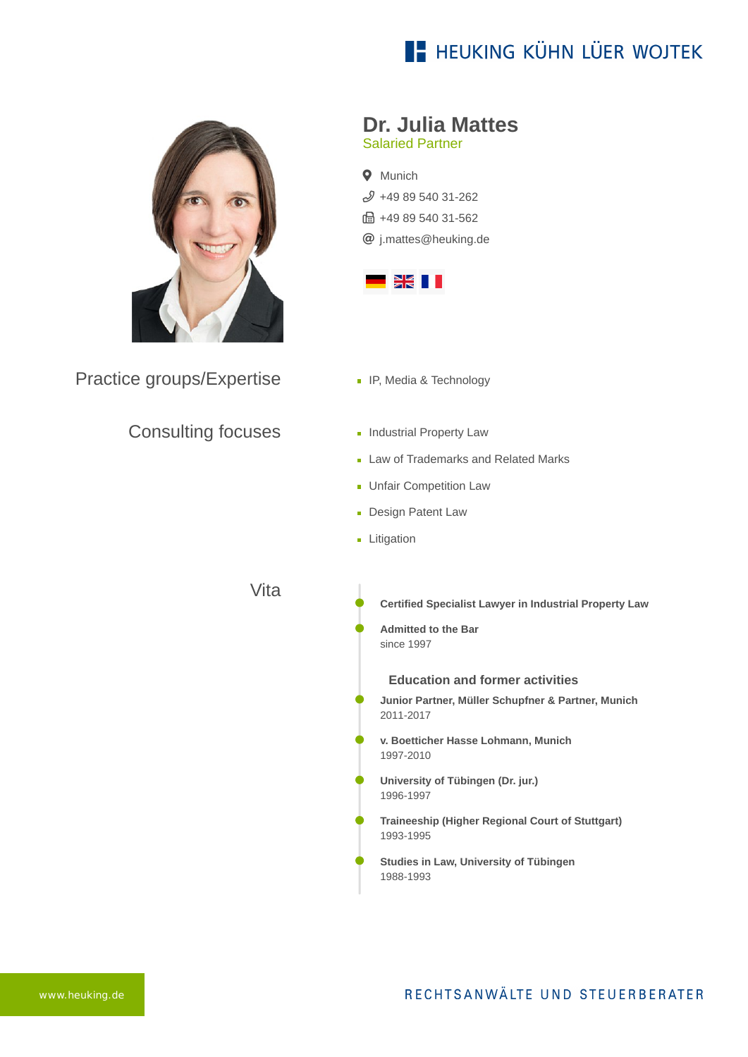# **E- HEUKING KÜHN LÜER WOJTEK**



Practice groups/Expertise

#### Consulting focuses

## **Dr. Julia Mattes**

Salaried Partner

**Q** Munich  $$498954031-262$ ft: +49 89 540 31-562 [j.mattes@heuking.de](mailto:j.mattes@heuking.de?subject=Contact%20via%20website%20heuking.de)



- **IF, Media & Technology**
- **Industrial Property Law**
- **Law of Trademarks and Related Marks**
- **Unfair Competition Law**
- **Design Patent Law**
- **Litigation**

Vita

- **Certified Specialist Lawyer in Industrial Property Law**
- **Admitted to the Bar** since 1997

**Education and former activities**

- **Junior Partner, Müller Schupfner & Partner, Munich** 2011-2017
- **v. Boetticher Hasse Lohmann, Munich** 1997-2010
- **University of Tübingen (Dr. jur.)** 1996-1997
- **Traineeship (Higher Regional Court of Stuttgart)** 1993-1995
- **Studies in Law, University of Tübingen** 1988-1993